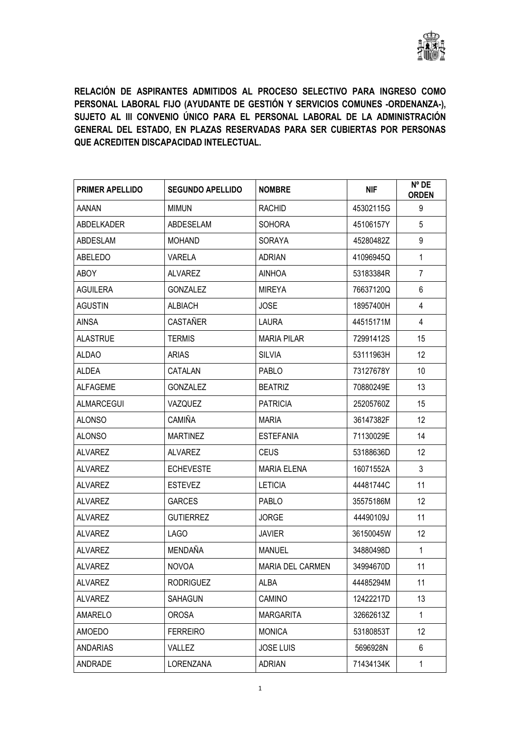

RELACIÓN DE ASPIRANTES ADMITIDOS AL PROCESO SELECTIVO PARA INGRESO COMO PERSONAL LABORAL FIJO (AYUDANTE DE GESTIÓN Y SERVICIOS COMUNES -ORDENANZA-), SUJETO AL III CONVENIO ÚNICO PARA EL PERSONAL LABORAL DE LA ADMINISTRACIÓN GENERAL DEL ESTADO, EN PLAZAS RESERVADAS PARA SER CUBIERTAS POR PERSONAS QUE ACREDITEN DISCAPACIDAD INTELECTUAL.

| <b>PRIMER APELLIDO</b> | <b>SEGUNDO APELLIDO</b> | <b>NOMBRE</b>      | <b>NIF</b> | N° DE<br><b>ORDEN</b> |
|------------------------|-------------------------|--------------------|------------|-----------------------|
| AANAN                  | <b>MIMUN</b>            | <b>RACHID</b>      | 45302115G  | 9                     |
| ABDELKADER             | ABDESELAM               | <b>SOHORA</b>      | 45106157Y  | 5                     |
| ABDESLAM               | <b>MOHAND</b>           | <b>SORAYA</b>      | 45280482Z  | 9                     |
| ABELEDO                | <b>VARELA</b>           | <b>ADRIAN</b>      | 41096945Q  | 1                     |
| ABOY                   | ALVAREZ                 | <b>AINHOA</b>      | 53183384R  | $\overline{7}$        |
| <b>AGUILERA</b>        | <b>GONZALEZ</b>         | <b>MIREYA</b>      | 76637120Q  | 6                     |
| <b>AGUSTIN</b>         | <b>ALBIACH</b>          | <b>JOSE</b>        | 18957400H  | 4                     |
| <b>AINSA</b>           | CASTAÑER                | LAURA              | 44515171M  | 4                     |
| <b>ALASTRUE</b>        | <b>TERMIS</b>           | <b>MARIA PILAR</b> | 72991412S  | 15                    |
| <b>ALDAO</b>           | <b>ARIAS</b>            | <b>SILVIA</b>      | 53111963H  | 12                    |
| ALDEA                  | CATALAN                 | <b>PABLO</b>       | 73127678Y  | 10                    |
| <b>ALFAGEME</b>        | <b>GONZALEZ</b>         | <b>BEATRIZ</b>     | 70880249E  | 13                    |
| <b>ALMARCEGUI</b>      | VAZQUEZ                 | <b>PATRICIA</b>    | 25205760Z  | 15                    |
| <b>ALONSO</b>          | <b>CAMIÑA</b>           | MARIA              | 36147382F  | 12                    |
| <b>ALONSO</b>          | <b>MARTINEZ</b>         | <b>ESTEFANIA</b>   | 71130029E  | 14                    |
| <b>ALVAREZ</b>         | <b>ALVAREZ</b>          | <b>CEUS</b>        | 53188636D  | 12                    |
| <b>ALVAREZ</b>         | <b>ECHEVESTE</b>        | <b>MARIA ELENA</b> | 16071552A  | 3                     |
| ALVAREZ                | <b>ESTEVEZ</b>          | <b>LETICIA</b>     | 44481744C  | 11                    |
| <b>ALVAREZ</b>         | <b>GARCES</b>           | <b>PABLO</b>       | 35575186M  | 12                    |
| <b>ALVAREZ</b>         | <b>GUTIERREZ</b>        | <b>JORGE</b>       | 44490109J  | 11                    |
| <b>ALVAREZ</b>         | LAGO                    | <b>JAVIER</b>      | 36150045W  | 12                    |
| <b>ALVAREZ</b>         | MENDAÑA                 | <b>MANUEL</b>      | 34880498D  | $\mathbf{1}$          |
| <b>ALVAREZ</b>         | <b>NOVOA</b>            | MARIA DEL CARMEN   | 34994670D  | 11                    |
| <b>ALVAREZ</b>         | <b>RODRIGUEZ</b>        | ALBA               | 44485294M  | 11                    |
| <b>ALVAREZ</b>         | SAHAGUN                 | CAMINO             | 12422217D  | 13                    |
| AMARELO                | <b>OROSA</b>            | <b>MARGARITA</b>   | 32662613Z  | 1                     |
| AMOEDO                 | <b>FERREIRO</b>         | <b>MONICA</b>      | 53180853T  | 12                    |
| ANDARIAS               | VALLEZ                  | <b>JOSE LUIS</b>   | 5696928N   | 6                     |
| ANDRADE                | <b>LORENZANA</b>        | <b>ADRIAN</b>      | 71434134K  | $\mathbf{1}$          |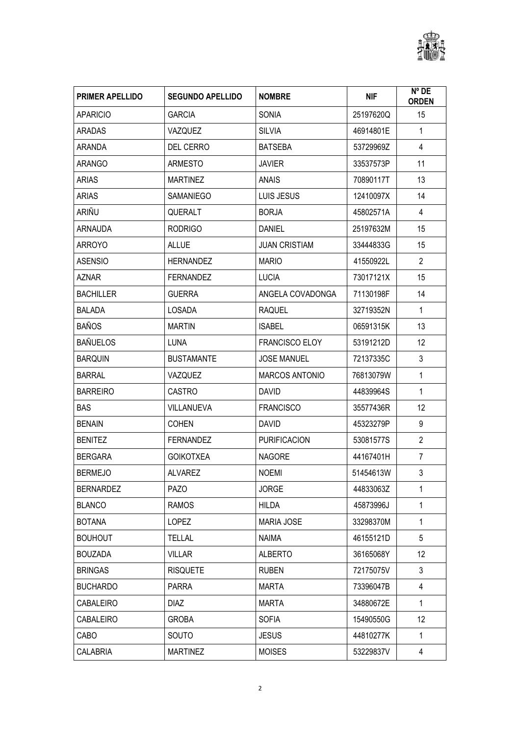

| <b>PRIMER APELLIDO</b> | <b>SEGUNDO APELLIDO</b> | <b>NOMBRE</b>         | <b>NIF</b> | Nº DE<br><b>ORDEN</b> |
|------------------------|-------------------------|-----------------------|------------|-----------------------|
| <b>APARICIO</b>        | <b>GARCIA</b>           | <b>SONIA</b>          | 25197620Q  | 15                    |
| <b>ARADAS</b>          | VAZQUEZ                 | <b>SILVIA</b>         | 46914801E  | $\mathbf{1}$          |
| <b>ARANDA</b>          | <b>DEL CERRO</b>        | <b>BATSEBA</b>        | 53729969Z  | $\overline{4}$        |
| <b>ARANGO</b>          | <b>ARMESTO</b>          | <b>JAVIER</b>         | 33537573P  | 11                    |
| <b>ARIAS</b>           | <b>MARTINEZ</b>         | ANAIS                 | 70890117T  | 13                    |
| <b>ARIAS</b>           | SAMANIEGO               | LUIS JESUS            | 12410097X  | 14                    |
| ARIÑU                  | <b>QUERALT</b>          | <b>BORJA</b>          | 45802571A  | 4                     |
| ARNAUDA                | <b>RODRIGO</b>          | <b>DANIEL</b>         | 25197632M  | 15                    |
| <b>ARROYO</b>          | <b>ALLUE</b>            | <b>JUAN CRISTIAM</b>  | 33444833G  | 15                    |
| <b>ASENSIO</b>         | <b>HERNANDEZ</b>        | <b>MARIO</b>          | 41550922L  | $\overline{2}$        |
| AZNAR                  | <b>FERNANDEZ</b>        | <b>LUCIA</b>          | 73017121X  | 15                    |
| <b>BACHILLER</b>       | <b>GUERRA</b>           | ANGELA COVADONGA      | 71130198F  | 14                    |
| <b>BALADA</b>          | LOSADA                  | <b>RAQUEL</b>         | 32719352N  | $\mathbf{1}$          |
| <b>BAÑOS</b>           | <b>MARTIN</b>           | <b>ISABEL</b>         | 06591315K  | 13                    |
| <b>BAÑUELOS</b>        | <b>LUNA</b>             | <b>FRANCISCO ELOY</b> | 53191212D  | 12                    |
| <b>BARQUIN</b>         | <b>BUSTAMANTE</b>       | <b>JOSE MANUEL</b>    | 72137335C  | 3                     |
| <b>BARRAL</b>          | VAZQUEZ                 | <b>MARCOS ANTONIO</b> | 76813079W  | $\mathbf{1}$          |
| <b>BARREIRO</b>        | <b>CASTRO</b>           | <b>DAVID</b>          | 44839964S  | $\mathbf{1}$          |
| <b>BAS</b>             | VILLANUEVA              | <b>FRANCISCO</b>      | 35577436R  | 12                    |
| <b>BENAIN</b>          | <b>COHEN</b>            | <b>DAVID</b>          | 45323279P  | 9                     |
| <b>BENITEZ</b>         | <b>FERNANDEZ</b>        | <b>PURIFICACION</b>   | 53081577S  | $\overline{2}$        |
| <b>BERGARA</b>         | <b>GOIKOTXEA</b>        | <b>NAGORE</b>         | 44167401H  | 7                     |
| <b>BERMEJO</b>         | <b>ALVAREZ</b>          | <b>NOEMI</b>          | 51454613W  | 3                     |
| <b>BERNARDEZ</b>       | <b>PAZO</b>             | <b>JORGE</b>          | 44833063Z  | 1                     |
| <b>BLANCO</b>          | <b>RAMOS</b>            | HILDA                 | 45873996J  | 1                     |
| <b>BOTANA</b>          | <b>LOPEZ</b>            | <b>MARIA JOSE</b>     | 33298370M  | 1                     |
| <b>BOUHOUT</b>         | <b>TELLAL</b>           | NAIMA                 | 46155121D  | 5                     |
| <b>BOUZADA</b>         | <b>VILLAR</b>           | <b>ALBERTO</b>        | 36165068Y  | 12                    |
| <b>BRINGAS</b>         | <b>RISQUETE</b>         | <b>RUBEN</b>          | 72175075V  | 3                     |
| <b>BUCHARDO</b>        | <b>PARRA</b>            | MARTA                 | 73396047B  | 4                     |
| CABALEIRO              | <b>DIAZ</b>             | MARTA                 | 34880672E  | 1                     |
| CABALEIRO              | <b>GROBA</b>            | <b>SOFIA</b>          | 15490550G  | 12                    |
| CABO                   | SOUTO                   | <b>JESUS</b>          | 44810277K  | $\mathbf{1}$          |
| CALABRIA               | <b>MARTINEZ</b>         | <b>MOISES</b>         | 53229837V  | 4                     |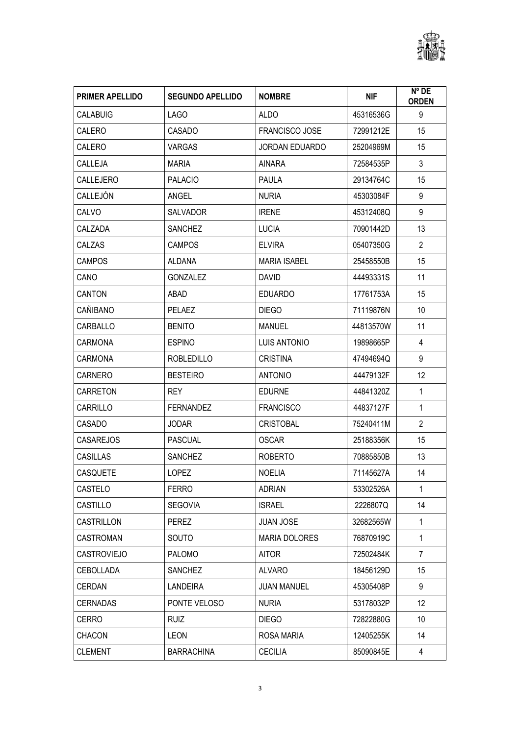

| <b>PRIMER APELLIDO</b> | <b>SEGUNDO APELLIDO</b> | <b>NOMBRE</b>         | <b>NIF</b> | $N^{\circ}$ DE<br><b>ORDEN</b> |
|------------------------|-------------------------|-----------------------|------------|--------------------------------|
| <b>CALABUIG</b>        | LAGO                    | <b>ALDO</b>           | 45316536G  | 9                              |
| CALERO                 | CASADO                  | <b>FRANCISCO JOSE</b> | 72991212E  | 15                             |
| CALERO                 | <b>VARGAS</b>           | <b>JORDAN EDUARDO</b> | 25204969M  | 15                             |
| CALLEJA                | <b>MARIA</b>            | AINARA                | 72584535P  | $\mathfrak{Z}$                 |
| <b>CALLEJERO</b>       | <b>PALACIO</b>          | <b>PAULA</b>          | 29134764C  | 15                             |
| CALLEJÓN               | <b>ANGEL</b>            | <b>NURIA</b>          | 45303084F  | 9                              |
| CALVO                  | <b>SALVADOR</b>         | <b>IRENE</b>          | 45312408Q  | 9                              |
| CALZADA                | <b>SANCHEZ</b>          | <b>LUCIA</b>          | 70901442D  | 13                             |
| CALZAS                 | <b>CAMPOS</b>           | <b>ELVIRA</b>         | 05407350G  | $\overline{2}$                 |
| <b>CAMPOS</b>          | ALDANA                  | <b>MARIA ISABEL</b>   | 25458550B  | 15                             |
| CANO                   | <b>GONZALEZ</b>         | <b>DAVID</b>          | 44493331S  | 11                             |
| CANTON                 | ABAD                    | <b>EDUARDO</b>        | 17761753A  | 15                             |
| CAÑIBANO               | PELAEZ                  | <b>DIEGO</b>          | 71119876N  | 10                             |
| CARBALLO               | <b>BENITO</b>           | <b>MANUEL</b>         | 44813570W  | 11                             |
| <b>CARMONA</b>         | <b>ESPINO</b>           | LUIS ANTONIO          | 19898665P  | 4                              |
| <b>CARMONA</b>         | <b>ROBLEDILLO</b>       | <b>CRISTINA</b>       | 47494694Q  | 9                              |
| <b>CARNERO</b>         | <b>BESTEIRO</b>         | <b>ANTONIO</b>        | 44479132F  | 12                             |
| <b>CARRETON</b>        | REY.                    | <b>EDURNE</b>         | 44841320Z  | $\mathbf{1}$                   |
| CARRILLO               | <b>FERNANDEZ</b>        | <b>FRANCISCO</b>      | 44837127F  | $\mathbf{1}$                   |
| CASADO                 | <b>JODAR</b>            | <b>CRISTOBAL</b>      | 75240411M  | $\overline{2}$                 |
| <b>CASAREJOS</b>       | <b>PASCUAL</b>          | <b>OSCAR</b>          | 25188356K  | 15                             |
| <b>CASILLAS</b>        | <b>SANCHEZ</b>          | <b>ROBERTO</b>        | 70885850B  | 13                             |
| <b>CASQUETE</b>        | <b>LOPEZ</b>            | <b>NOELIA</b>         | 71145627A  | 14                             |
| CASTELO                | <b>FERRO</b>            | ADRIAN                | 53302526A  | $\mathbf{1}$                   |
| CASTILLO               | <b>SEGOVIA</b>          | <b>ISRAEL</b>         | 2226807Q   | 14                             |
| CASTRILLON             | <b>PEREZ</b>            | <b>JUAN JOSE</b>      | 32682565W  | 1                              |
| <b>CASTROMAN</b>       | <b>SOUTO</b>            | <b>MARIA DOLORES</b>  | 76870919C  | 1                              |
| <b>CASTROVIEJO</b>     | <b>PALOMO</b>           | <b>AITOR</b>          | 72502484K  | $\overline{7}$                 |
| <b>CEBOLLADA</b>       | <b>SANCHEZ</b>          | <b>ALVARO</b>         | 18456129D  | 15                             |
| CERDAN                 | LANDEIRA                | <b>JUAN MANUEL</b>    | 45305408P  | 9                              |
| <b>CERNADAS</b>        | PONTE VELOSO            | <b>NURIA</b>          | 53178032P  | 12                             |
| CERRO                  | <b>RUIZ</b>             | <b>DIEGO</b>          | 72822880G  | 10                             |
| <b>CHACON</b>          | <b>LEON</b>             | ROSA MARIA            | 12405255K  | 14                             |
| <b>CLEMENT</b>         | <b>BARRACHINA</b>       | <b>CECILIA</b>        | 85090845E  | 4                              |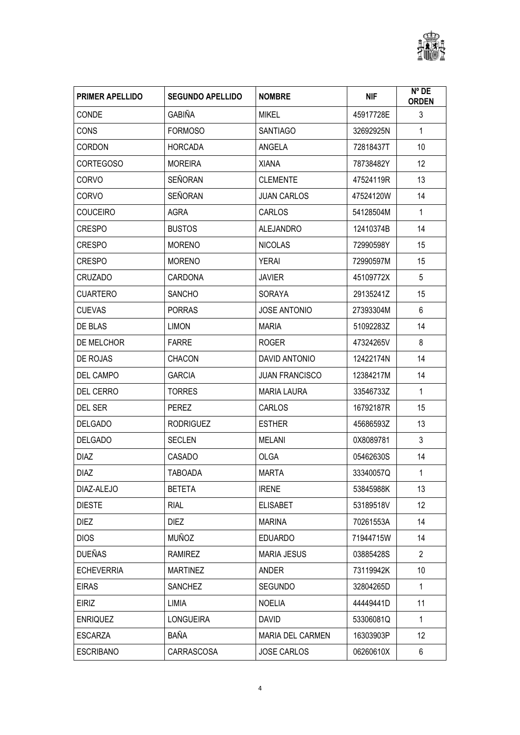

| <b>PRIMER APELLIDO</b> | <b>SEGUNDO APELLIDO</b> | <b>NOMBRE</b>           | <b>NIF</b> | Nº DE<br><b>ORDEN</b> |
|------------------------|-------------------------|-------------------------|------------|-----------------------|
| <b>CONDE</b>           | <b>GABIÑA</b>           | <b>MIKEL</b>            | 45917728E  | 3                     |
| <b>CONS</b>            | <b>FORMOSO</b>          | <b>SANTIAGO</b>         | 32692925N  | $\mathbf{1}$          |
| <b>CORDON</b>          | <b>HORCADA</b>          | ANGELA                  | 72818437T  | 10                    |
| <b>CORTEGOSO</b>       | <b>MOREIRA</b>          | <b>XIANA</b>            | 78738482Y  | 12                    |
| <b>CORVO</b>           | SEÑORAN                 | <b>CLEMENTE</b>         | 47524119R  | 13                    |
| CORVO                  | SEÑORAN                 | <b>JUAN CARLOS</b>      | 47524120W  | 14                    |
| <b>COUCEIRO</b>        | <b>AGRA</b>             | CARLOS                  | 54128504M  | $\mathbf{1}$          |
| CRESPO                 | <b>BUSTOS</b>           | <b>ALEJANDRO</b>        | 12410374B  | 14                    |
| <b>CRESPO</b>          | <b>MORENO</b>           | <b>NICOLAS</b>          | 72990598Y  | 15                    |
| <b>CRESPO</b>          | <b>MORENO</b>           | <b>YERAI</b>            | 72990597M  | 15                    |
| <b>CRUZADO</b>         | <b>CARDONA</b>          | <b>JAVIER</b>           | 45109772X  | 5                     |
| <b>CUARTERO</b>        | <b>SANCHO</b>           | SORAYA                  | 29135241Z  | 15                    |
| <b>CUEVAS</b>          | <b>PORRAS</b>           | <b>JOSE ANTONIO</b>     | 27393304M  | 6                     |
| DE BLAS                | <b>LIMON</b>            | <b>MARIA</b>            | 51092283Z  | 14                    |
| DE MELCHOR             | <b>FARRE</b>            | <b>ROGER</b>            | 47324265V  | 8                     |
| DE ROJAS               | <b>CHACON</b>           | DAVID ANTONIO           | 12422174N  | 14                    |
| DEL CAMPO              | <b>GARCIA</b>           | <b>JUAN FRANCISCO</b>   | 12384217M  | 14                    |
| <b>DEL CERRO</b>       | <b>TORRES</b>           | <b>MARIA LAURA</b>      | 33546733Z  | $\mathbf{1}$          |
| DEL SER                | <b>PEREZ</b>            | CARLOS                  | 16792187R  | 15                    |
| <b>DELGADO</b>         | <b>RODRIGUEZ</b>        | <b>ESTHER</b>           | 45686593Z  | 13                    |
| <b>DELGADO</b>         | <b>SECLEN</b>           | <b>MELANI</b>           | 0X8089781  | $\mathfrak{Z}$        |
| <b>DIAZ</b>            | CASADO                  | <b>OLGA</b>             | 05462630S  | 14                    |
| <b>DIAZ</b>            | <b>TABOADA</b>          | MARTA                   | 33340057Q  | $\mathbf{1}$          |
| DIAZ-ALEJO             | <b>BETETA</b>           | <b>IRENE</b>            | 53845988K  | 13                    |
| <b>DIESTE</b>          | <b>RIAL</b>             | <b>ELISABET</b>         | 53189518V  | 12                    |
| <b>DIEZ</b>            | <b>DIEZ</b>             | <b>MARINA</b>           | 70261553A  | 14                    |
| <b>DIOS</b>            | MUÑOZ                   | <b>EDUARDO</b>          | 71944715W  | 14                    |
| <b>DUEÑAS</b>          | <b>RAMIREZ</b>          | <b>MARIA JESUS</b>      | 03885428S  | $\overline{2}$        |
| <b>ECHEVERRIA</b>      | <b>MARTINEZ</b>         | ANDER                   | 73119942K  | 10                    |
| <b>EIRAS</b>           | <b>SANCHEZ</b>          | <b>SEGUNDO</b>          | 32804265D  | $\mathbf{1}$          |
| <b>EIRIZ</b>           | LIMIA                   | <b>NOELIA</b>           | 44449441D  | 11                    |
| <b>ENRIQUEZ</b>        | <b>LONGUEIRA</b>        | <b>DAVID</b>            | 53306081Q  | $\mathbf{1}$          |
| <b>ESCARZA</b>         | BAÑA                    | <b>MARIA DEL CARMEN</b> | 16303903P  | 12                    |
| <b>ESCRIBANO</b>       | CARRASCOSA              | <b>JOSE CARLOS</b>      | 06260610X  | 6                     |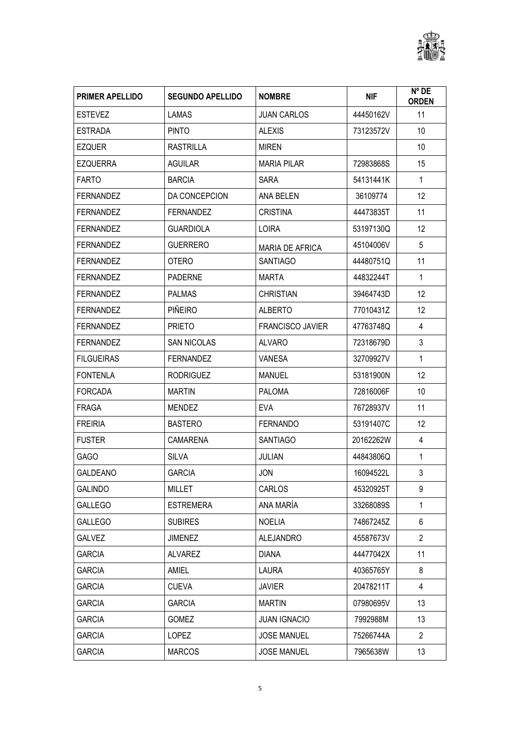

| <b>PRIMER APELLIDO</b> | <b>SEGUNDO APELLIDO</b> | <b>NOMBRE</b>           | <b>NIF</b> | Nº DE<br><b>ORDEN</b> |
|------------------------|-------------------------|-------------------------|------------|-----------------------|
| <b>ESTEVEZ</b>         | <b>LAMAS</b>            | <b>JUAN CARLOS</b>      | 44450162V  | 11                    |
| <b>ESTRADA</b>         | <b>PINTO</b>            | <b>ALEXIS</b>           | 73123572V  | 10                    |
| <b>EZQUER</b>          | <b>RASTRILLA</b>        | <b>MIREN</b>            |            | 10                    |
| <b>EZQUERRA</b>        | <b>AGUILAR</b>          | <b>MARIA PILAR</b>      | 72983868S  | 15                    |
| <b>FARTO</b>           | <b>BARCIA</b>           | <b>SARA</b>             | 54131441K  | $\mathbf{1}$          |
| <b>FERNANDEZ</b>       | DA CONCEPCION           | ANA BELEN               | 36109774   | 12                    |
| <b>FERNANDEZ</b>       | <b>FERNANDEZ</b>        | <b>CRISTINA</b>         | 44473835T  | 11                    |
| <b>FERNANDEZ</b>       | <b>GUARDIOLA</b>        | <b>LOIRA</b>            | 53197130Q  | 12                    |
| <b>FERNANDEZ</b>       | <b>GUERRERO</b>         | <b>MARIA DE AFRICA</b>  | 45104006V  | 5                     |
| <b>FERNANDEZ</b>       | <b>OTERO</b>            | <b>SANTIAGO</b>         | 44480751Q  | 11                    |
| <b>FERNANDEZ</b>       | <b>PADERNE</b>          | <b>MARTA</b>            | 44832244T  | $\mathbf{1}$          |
| <b>FERNANDEZ</b>       | <b>PALMAS</b>           | <b>CHRISTIAN</b>        | 39464743D  | 12                    |
| <b>FERNANDEZ</b>       | <b>PIÑEIRO</b>          | <b>ALBERTO</b>          | 77010431Z  | 12                    |
| <b>FERNANDEZ</b>       | <b>PRIETO</b>           | <b>FRANCISCO JAVIER</b> | 47763748Q  | 4                     |
| <b>FERNANDEZ</b>       | <b>SAN NICOLAS</b>      | <b>ALVARO</b>           | 72318679D  | 3                     |
| <b>FILGUEIRAS</b>      | <b>FERNANDEZ</b>        | <b>VANESA</b>           | 32709927V  | $\mathbf{1}$          |
| <b>FONTENLA</b>        | <b>RODRIGUEZ</b>        | <b>MANUEL</b>           | 53181900N  | 12                    |
| <b>FORCADA</b>         | <b>MARTIN</b>           | <b>PALOMA</b>           | 72816006F  | 10                    |
| FRAGA                  | <b>MENDEZ</b>           | <b>EVA</b>              | 76728937V  | 11                    |
| <b>FREIRIA</b>         | <b>BASTERO</b>          | <b>FERNANDO</b>         | 53191407C  | 12                    |
| <b>FUSTER</b>          | <b>CAMARENA</b>         | <b>SANTIAGO</b>         | 20162262W  | 4                     |
| <b>GAGO</b>            | <b>SILVA</b>            | <b>JULIAN</b>           | 44843806Q  | 1                     |
| <b>GALDEANO</b>        | <b>GARCIA</b>           | <b>JON</b>              | 16094522L  | 3                     |
| <b>GALINDO</b>         | MILLET                  | CARLOS                  | 45320925T  | 9                     |
| <b>GALLEGO</b>         | <b>ESTREMERA</b>        | ANA MARÍA               | 33268089S  | 1                     |
| <b>GALLEGO</b>         | <b>SUBIRES</b>          | <b>NOELIA</b>           | 74867245Z  | 6                     |
| <b>GALVEZ</b>          | <b>JIMENEZ</b>          | <b>ALEJANDRO</b>        | 45587673V  | $\overline{2}$        |
| <b>GARCIA</b>          | <b>ALVAREZ</b>          | <b>DIANA</b>            | 44477042X  | 11                    |
| <b>GARCIA</b>          | AMIEL                   | <b>LAURA</b>            | 40365765Y  | 8                     |
| <b>GARCIA</b>          | <b>CUEVA</b>            | <b>JAVIER</b>           | 20478211T  | $\overline{4}$        |
| <b>GARCIA</b>          | <b>GARCIA</b>           | <b>MARTIN</b>           | 07980695V  | 13                    |
| <b>GARCIA</b>          | GOMEZ                   | <b>JUAN IGNACIO</b>     | 7992988M   | 13                    |
| <b>GARCIA</b>          | <b>LOPEZ</b>            | <b>JOSE MANUEL</b>      | 75266744A  | $\overline{2}$        |
| <b>GARCIA</b>          | <b>MARCOS</b>           | JOSE MANUEL             | 7965638W   | 13                    |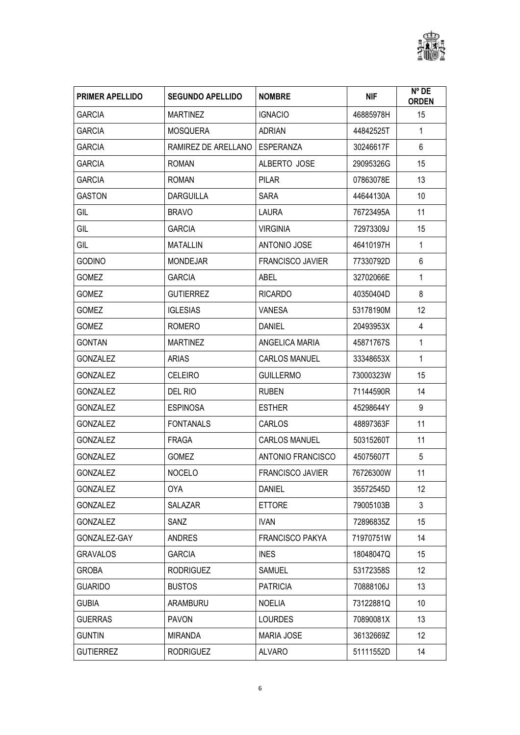

| <b>PRIMER APELLIDO</b> | <b>SEGUNDO APELLIDO</b> | <b>NOMBRE</b>           | <b>NIF</b> | $N^{\circ}$ DE<br><b>ORDEN</b> |
|------------------------|-------------------------|-------------------------|------------|--------------------------------|
| <b>GARCIA</b>          | <b>MARTINEZ</b>         | <b>IGNACIO</b>          | 46885978H  | 15                             |
| <b>GARCIA</b>          | <b>MOSQUERA</b>         | <b>ADRIAN</b>           | 44842525T  | $\mathbf{1}$                   |
| <b>GARCIA</b>          | RAMIREZ DE ARELLANO     | ESPERANZA               | 30246617F  | 6                              |
| <b>GARCIA</b>          | <b>ROMAN</b>            | ALBERTO JOSE            | 29095326G  | 15                             |
| <b>GARCIA</b>          | <b>ROMAN</b>            | <b>PILAR</b>            | 07863078E  | 13                             |
| GASTON                 | <b>DARGUILLA</b>        | <b>SARA</b>             | 44644130A  | 10                             |
| GIL                    | <b>BRAVO</b>            | LAURA                   | 76723495A  | 11                             |
| GIL                    | <b>GARCIA</b>           | <b>VIRGINIA</b>         | 72973309J  | 15                             |
| GIL                    | <b>MATALLIN</b>         | <b>ANTONIO JOSE</b>     | 46410197H  | $\mathbf{1}$                   |
| <b>GODINO</b>          | <b>MONDEJAR</b>         | <b>FRANCISCO JAVIER</b> | 77330792D  | 6                              |
| <b>GOMEZ</b>           | <b>GARCIA</b>           | <b>ABEL</b>             | 32702066E  | $\mathbf{1}$                   |
| <b>GOMEZ</b>           | <b>GUTIERREZ</b>        | <b>RICARDO</b>          | 40350404D  | 8                              |
| <b>GOMEZ</b>           | <b>IGLESIAS</b>         | <b>VANESA</b>           | 53178190M  | 12                             |
| <b>GOMEZ</b>           | <b>ROMERO</b>           | <b>DANIEL</b>           | 20493953X  | 4                              |
| <b>GONTAN</b>          | <b>MARTINEZ</b>         | ANGELICA MARIA          | 45871767S  | 1                              |
| <b>GONZALEZ</b>        | <b>ARIAS</b>            | <b>CARLOS MANUEL</b>    | 33348653X  | $\mathbf{1}$                   |
| <b>GONZALEZ</b>        | <b>CELEIRO</b>          | <b>GUILLERMO</b>        | 73000323W  | 15                             |
| <b>GONZALEZ</b>        | DEL RIO                 | <b>RUBEN</b>            | 71144590R  | 14                             |
| <b>GONZALEZ</b>        | <b>ESPINOSA</b>         | <b>ESTHER</b>           | 45298644Y  | 9                              |
| <b>GONZALEZ</b>        | <b>FONTANALS</b>        | CARLOS                  | 48897363F  | 11                             |
| <b>GONZALEZ</b>        | <b>FRAGA</b>            | CARLOS MANUEL           | 50315260T  | 11                             |
| <b>GONZALEZ</b>        | <b>GOMEZ</b>            | ANTONIO FRANCISCO       | 45075607T  | 5                              |
| <b>GONZALEZ</b>        | <b>NOCELO</b>           | <b>FRANCISCO JAVIER</b> | 76726300W  | 11                             |
| <b>GONZALEZ</b>        | 0YA                     | DANIEL                  | 35572545D  | 12                             |
| <b>GONZALEZ</b>        | SALAZAR                 | <b>ETTORE</b>           | 79005103B  | $\mathfrak{Z}$                 |
| <b>GONZALEZ</b>        | SANZ                    | <b>IVAN</b>             | 72896835Z  | 15                             |
| GONZALEZ-GAY           | ANDRES                  | <b>FRANCISCO PAKYA</b>  | 71970751W  | 14                             |
| <b>GRAVALOS</b>        | <b>GARCIA</b>           | <b>INES</b>             | 18048047Q  | 15                             |
| GROBA                  | <b>RODRIGUEZ</b>        | SAMUEL                  | 53172358S  | 12                             |
| <b>GUARIDO</b>         | <b>BUSTOS</b>           | <b>PATRICIA</b>         | 70888106J  | 13                             |
| <b>GUBIA</b>           | ARAMBURU                | <b>NOELIA</b>           | 73122881Q  | 10                             |
| <b>GUERRAS</b>         | <b>PAVON</b>            | <b>LOURDES</b>          | 70890081X  | 13                             |
| <b>GUNTIN</b>          | <b>MIRANDA</b>          | <b>MARIA JOSE</b>       | 36132669Z  | 12                             |
| <b>GUTIERREZ</b>       | <b>RODRIGUEZ</b>        | <b>ALVARO</b>           | 51111552D  | 14                             |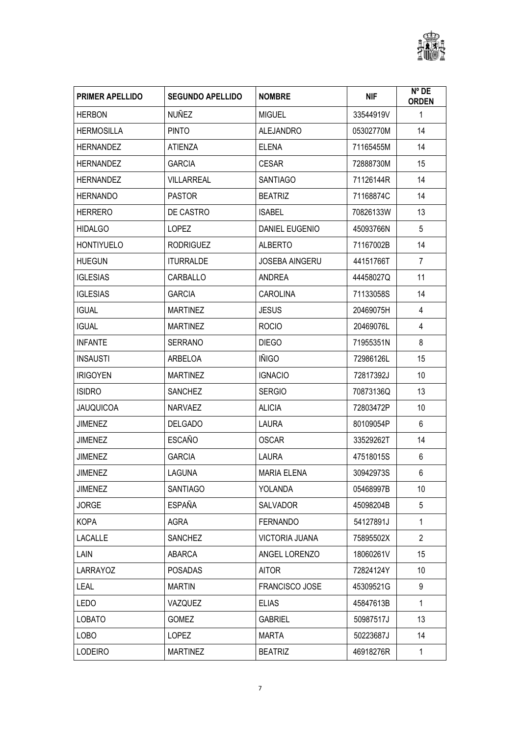

| <b>PRIMER APELLIDO</b> | <b>SEGUNDO APELLIDO</b> | <b>NOMBRE</b>         | <b>NIF</b> | $N^{\circ}$ DE<br><b>ORDEN</b> |
|------------------------|-------------------------|-----------------------|------------|--------------------------------|
| <b>HERBON</b>          | <b>NUÑEZ</b>            | <b>MIGUEL</b>         | 33544919V  | 1                              |
| <b>HERMOSILLA</b>      | <b>PINTO</b>            | <b>ALEJANDRO</b>      | 05302770M  | 14                             |
| <b>HERNANDEZ</b>       | <b>ATIENZA</b>          | <b>ELENA</b>          | 71165455M  | 14                             |
| <b>HERNANDEZ</b>       | <b>GARCIA</b>           | <b>CESAR</b>          | 72888730M  | 15                             |
| <b>HERNANDEZ</b>       | <b>VILLARREAL</b>       | <b>SANTIAGO</b>       | 71126144R  | 14                             |
| <b>HERNANDO</b>        | <b>PASTOR</b>           | <b>BEATRIZ</b>        | 71168874C  | 14                             |
| <b>HERRERO</b>         | DE CASTRO               | <b>ISABEL</b>         | 70826133W  | 13                             |
| <b>HIDALGO</b>         | <b>LOPEZ</b>            | DANIEL EUGENIO        | 45093766N  | 5                              |
| <b>HONTIYUELO</b>      | <b>RODRIGUEZ</b>        | <b>ALBERTO</b>        | 71167002B  | 14                             |
| <b>HUEGUN</b>          | <b>ITURRALDE</b>        | <b>JOSEBA AINGERU</b> | 44151766T  | $\overline{7}$                 |
| <b>IGLESIAS</b>        | CARBALLO                | ANDREA                | 44458027Q  | 11                             |
| <b>IGLESIAS</b>        | <b>GARCIA</b>           | <b>CAROLINA</b>       | 71133058S  | 14                             |
| <b>IGUAL</b>           | <b>MARTINEZ</b>         | <b>JESUS</b>          | 20469075H  | 4                              |
| <b>IGUAL</b>           | <b>MARTINEZ</b>         | <b>ROCIO</b>          | 20469076L  | 4                              |
| <b>INFANTE</b>         | <b>SERRANO</b>          | <b>DIEGO</b>          | 71955351N  | 8                              |
| <b>INSAUSTI</b>        | ARBELOA                 | <b>IÑIGO</b>          | 72986126L  | 15                             |
| <b>IRIGOYEN</b>        | <b>MARTINEZ</b>         | <b>IGNACIO</b>        | 72817392J  | 10                             |
| <b>ISIDRO</b>          | <b>SANCHEZ</b>          | <b>SERGIO</b>         | 70873136Q  | 13                             |
| <b>JAUQUICOA</b>       | <b>NARVAEZ</b>          | <b>ALICIA</b>         | 72803472P  | 10                             |
| <b>JIMENEZ</b>         | <b>DELGADO</b>          | <b>LAURA</b>          | 80109054P  | 6                              |
| <b>JIMENEZ</b>         | <b>ESCAÑO</b>           | <b>OSCAR</b>          | 33529262T  | 14                             |
| JIMENEZ                | <b>GARCIA</b>           | <b>LAURA</b>          | 47518015S  | 6                              |
| <b>JIMENEZ</b>         | LAGUNA                  | <b>MARIA ELENA</b>    | 30942973S  | 6                              |
| JIMENEZ                | <b>SANTIAGO</b>         | YOLANDA               | 05468997B  | 10                             |
| JORGE                  | ESPAÑA                  | SALVADOR              | 45098204B  | 5                              |
| <b>KOPA</b>            | AGRA                    | <b>FERNANDO</b>       | 54127891J  | 1                              |
| LACALLE                | <b>SANCHEZ</b>          | <b>VICTORIA JUANA</b> | 75895502X  | $\overline{2}$                 |
| <b>LAIN</b>            | ABARCA                  | ANGEL LORENZO         | 18060261V  | 15                             |
| LARRAYOZ               | <b>POSADAS</b>          | <b>AITOR</b>          | 72824124Y  | 10                             |
| <b>LEAL</b>            | <b>MARTIN</b>           | FRANCISCO JOSE        | 45309521G  | 9                              |
| LEDO                   | VAZQUEZ                 | <b>ELIAS</b>          | 45847613B  | $\mathbf{1}$                   |
| <b>LOBATO</b>          | <b>GOMEZ</b>            | <b>GABRIEL</b>        | 50987517J  | 13                             |
| <b>LOBO</b>            | <b>LOPEZ</b>            | MARTA                 | 50223687J  | 14                             |
| <b>LODEIRO</b>         | <b>MARTINEZ</b>         | <b>BEATRIZ</b>        | 46918276R  | 1                              |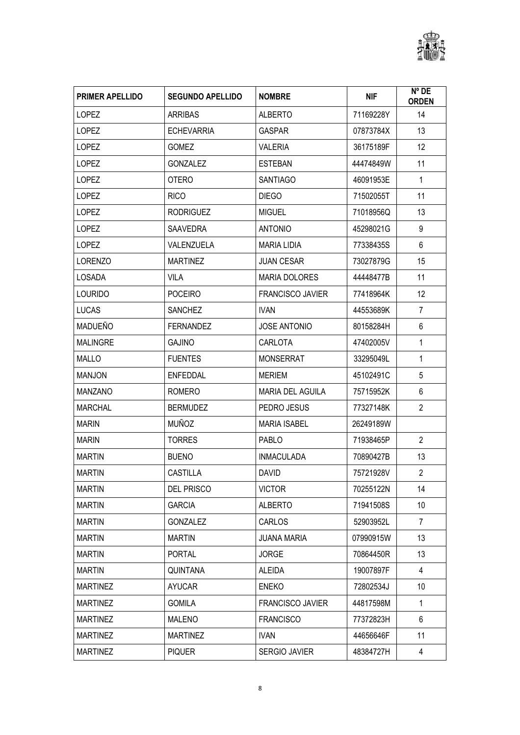

| <b>PRIMER APELLIDO</b> | <b>SEGUNDO APELLIDO</b> | <b>NOMBRE</b>           | <b>NIF</b> | Nº DE<br><b>ORDEN</b> |
|------------------------|-------------------------|-------------------------|------------|-----------------------|
| <b>LOPEZ</b>           | <b>ARRIBAS</b>          | <b>ALBERTO</b>          | 71169228Y  | 14                    |
| <b>LOPEZ</b>           | <b>ECHEVARRIA</b>       | <b>GASPAR</b>           | 07873784X  | 13                    |
| <b>LOPEZ</b>           | <b>GOMEZ</b>            | <b>VALERIA</b>          | 36175189F  | 12                    |
| LOPEZ                  | <b>GONZALEZ</b>         | <b>ESTEBAN</b>          | 44474849W  | 11                    |
| <b>LOPEZ</b>           | <b>OTERO</b>            | <b>SANTIAGO</b>         | 46091953E  | $\mathbf{1}$          |
| <b>LOPEZ</b>           | <b>RICO</b>             | <b>DIEGO</b>            | 71502055T  | 11                    |
| <b>LOPEZ</b>           | <b>RODRIGUEZ</b>        | <b>MIGUEL</b>           | 71018956Q  | 13                    |
| <b>LOPEZ</b>           | <b>SAAVEDRA</b>         | <b>ANTONIO</b>          | 45298021G  | 9                     |
| <b>LOPEZ</b>           | VALENZUELA              | <b>MARIA LIDIA</b>      | 77338435S  | 6                     |
| <b>LORENZO</b>         | <b>MARTINEZ</b>         | <b>JUAN CESAR</b>       | 73027879G  | 15                    |
| LOSADA                 | <b>VILA</b>             | <b>MARIA DOLORES</b>    | 44448477B  | 11                    |
| <b>LOURIDO</b>         | <b>POCEIRO</b>          | <b>FRANCISCO JAVIER</b> | 77418964K  | 12                    |
| <b>LUCAS</b>           | <b>SANCHEZ</b>          | <b>IVAN</b>             | 44553689K  | $\overline{7}$        |
| MADUEÑO                | <b>FERNANDEZ</b>        | <b>JOSE ANTONIO</b>     | 80158284H  | 6                     |
| <b>MALINGRE</b>        | <b>GAJINO</b>           | CARLOTA                 | 47402005V  | 1                     |
| <b>MALLO</b>           | <b>FUENTES</b>          | <b>MONSERRAT</b>        | 33295049L  | 1                     |
| <b>MANJON</b>          | <b>ENFEDDAL</b>         | <b>MERIEM</b>           | 45102491C  | 5                     |
| <b>MANZANO</b>         | <b>ROMERO</b>           | <b>MARIA DEL AGUILA</b> | 75715952K  | 6                     |
| <b>MARCHAL</b>         | <b>BERMUDEZ</b>         | PEDRO JESUS             | 77327148K  | $\overline{2}$        |
| <b>MARIN</b>           | <b>MUÑOZ</b>            | <b>MARIA ISABEL</b>     | 26249189W  |                       |
| <b>MARIN</b>           | <b>TORRES</b>           | <b>PABLO</b>            | 71938465P  | $\overline{2}$        |
| <b>MARTIN</b>          | <b>BUENO</b>            | <b>INMACULADA</b>       | 70890427B  | 13                    |
| <b>MARTIN</b>          | <b>CASTILLA</b>         | DAVID.                  | 75721928V  | $\overline{2}$        |
| <b>MARTIN</b>          | <b>DEL PRISCO</b>       | <b>VICTOR</b>           | 70255122N  | 14                    |
| <b>MARTIN</b>          | <b>GARCIA</b>           | <b>ALBERTO</b>          | 71941508S  | 10                    |
| <b>MARTIN</b>          | <b>GONZALEZ</b>         | <b>CARLOS</b>           | 52903952L  | $\overline{7}$        |
| MARTIN                 | <b>MARTIN</b>           | <b>JUANA MARIA</b>      | 07990915W  | 13                    |
| <b>MARTIN</b>          | <b>PORTAL</b>           | <b>JORGE</b>            | 70864450R  | 13                    |
| <b>MARTIN</b>          | QUINTANA                | <b>ALEIDA</b>           | 19007897F  | 4                     |
| <b>MARTINEZ</b>        | <b>AYUCAR</b>           | <b>ENEKO</b>            | 72802534J  | 10                    |
| <b>MARTINEZ</b>        | <b>GOMILA</b>           | <b>FRANCISCO JAVIER</b> | 44817598M  | $\mathbf{1}$          |
| <b>MARTINEZ</b>        | MALENO                  | <b>FRANCISCO</b>        | 77372823H  | 6                     |
| <b>MARTINEZ</b>        | <b>MARTINEZ</b>         | <b>IVAN</b>             | 44656646F  | 11                    |
| <b>MARTINEZ</b>        | <b>PIQUER</b>           | SERGIO JAVIER           | 48384727H  | 4                     |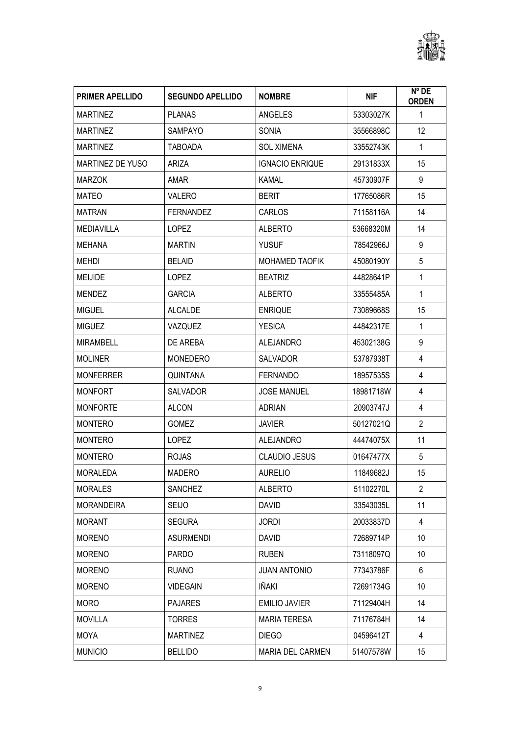

| <b>PRIMER APELLIDO</b>  | <b>SEGUNDO APELLIDO</b> | <b>NOMBRE</b>          | <b>NIF</b> | $N^{\circ}$ DE<br><b>ORDEN</b> |
|-------------------------|-------------------------|------------------------|------------|--------------------------------|
| <b>MARTINEZ</b>         | <b>PLANAS</b>           | ANGELES                | 53303027K  | 1                              |
| <b>MARTINEZ</b>         | <b>SAMPAYO</b>          | <b>SONIA</b>           | 35566898C  | 12                             |
| <b>MARTINEZ</b>         | <b>TABOADA</b>          | <b>SOL XIMENA</b>      | 33552743K  | $\mathbf{1}$                   |
| <b>MARTINEZ DE YUSO</b> | ARIZA                   | <b>IGNACIO ENRIQUE</b> | 29131833X  | 15                             |
| <b>MARZOK</b>           | AMAR                    | <b>KAMAL</b>           | 45730907F  | 9                              |
| MATEO                   | <b>VALERO</b>           | <b>BERIT</b>           | 17765086R  | 15                             |
| <b>MATRAN</b>           | <b>FERNANDEZ</b>        | CARLOS                 | 71158116A  | 14                             |
| <b>MEDIAVILLA</b>       | <b>LOPEZ</b>            | <b>ALBERTO</b>         | 53668320M  | 14                             |
| MEHANA                  | <b>MARTIN</b>           | <b>YUSUF</b>           | 78542966J  | 9                              |
| <b>MEHDI</b>            | <b>BELAID</b>           | <b>MOHAMED TAOFIK</b>  | 45080190Y  | 5                              |
| <b>MEIJIDE</b>          | <b>LOPEZ</b>            | <b>BEATRIZ</b>         | 44828641P  | 1                              |
| <b>MENDEZ</b>           | <b>GARCIA</b>           | <b>ALBERTO</b>         | 33555485A  | $\mathbf{1}$                   |
| <b>MIGUEL</b>           | <b>ALCALDE</b>          | <b>ENRIQUE</b>         | 73089668S  | 15                             |
| <b>MIGUEZ</b>           | VAZQUEZ                 | <b>YESICA</b>          | 44842317E  | $\mathbf{1}$                   |
| <b>MIRAMBELL</b>        | DE AREBA                | <b>ALEJANDRO</b>       | 45302138G  | 9                              |
| <b>MOLINER</b>          | <b>MONEDERO</b>         | <b>SALVADOR</b>        | 53787938T  | 4                              |
| <b>MONFERRER</b>        | <b>QUINTANA</b>         | <b>FERNANDO</b>        | 18957535S  | 4                              |
| <b>MONFORT</b>          | <b>SALVADOR</b>         | <b>JOSE MANUEL</b>     | 18981718W  | 4                              |
| <b>MONFORTE</b>         | <b>ALCON</b>            | <b>ADRIAN</b>          | 20903747J  | 4                              |
| <b>MONTERO</b>          | <b>GOMEZ</b>            | <b>JAVIER</b>          | 50127021Q  | $\overline{2}$                 |
| <b>MONTERO</b>          | <b>LOPEZ</b>            | <b>ALEJANDRO</b>       | 44474075X  | 11                             |
| <b>MONTERO</b>          | <b>ROJAS</b>            | <b>CLAUDIO JESUS</b>   | 01647477X  | 5                              |
| <b>MORALEDA</b>         | MADERO                  | <b>AURELIO</b>         | 11849682J  | 15                             |
| <b>MORALES</b>          | <b>SANCHEZ</b>          | <b>ALBERTO</b>         | 51102270L  | $\overline{2}$                 |
| <b>MORANDEIRA</b>       | <b>SEIJO</b>            | <b>DAVID</b>           | 33543035L  | 11                             |
| <b>MORANT</b>           | <b>SEGURA</b>           | <b>JORDI</b>           | 20033837D  | 4                              |
| <b>MORENO</b>           | ASURMENDI               | DAVID                  | 72689714P  | 10                             |
| <b>MORENO</b>           | <b>PARDO</b>            | <b>RUBEN</b>           | 73118097Q  | 10                             |
| <b>MORENO</b>           | <b>RUANO</b>            | <b>JUAN ANTONIO</b>    | 77343786F  | 6                              |
| <b>MORENO</b>           | <b>VIDEGAIN</b>         | IÑAKI                  | 72691734G  | 10                             |
| <b>MORO</b>             | <b>PAJARES</b>          | <b>EMILIO JAVIER</b>   | 71129404H  | 14                             |
| <b>MOVILLA</b>          | <b>TORRES</b>           | <b>MARIA TERESA</b>    | 71176784H  | 14                             |
| <b>MOYA</b>             | <b>MARTINEZ</b>         | <b>DIEGO</b>           | 04596412T  | $\overline{4}$                 |
| <b>MUNICIO</b>          | <b>BELLIDO</b>          | MARIA DEL CARMEN       | 51407578W  | 15                             |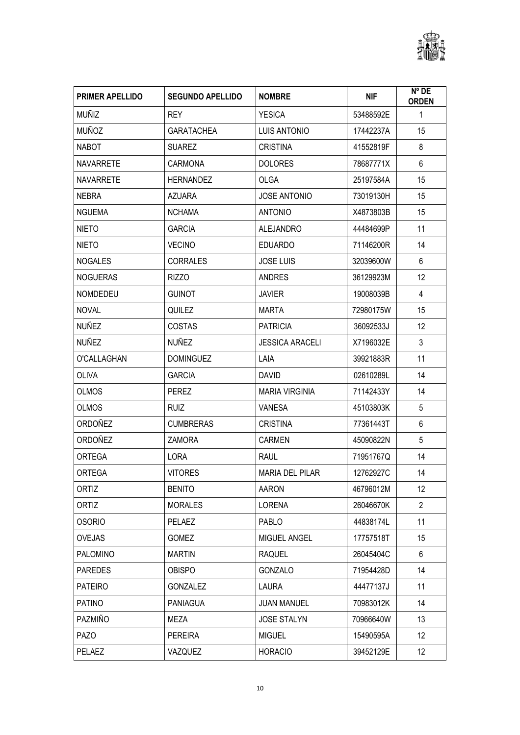

| <b>PRIMER APELLIDO</b> | <b>SEGUNDO APELLIDO</b> | <b>NOMBRE</b>          | <b>NIF</b> | $N^{\circ}$ DE<br><b>ORDEN</b> |
|------------------------|-------------------------|------------------------|------------|--------------------------------|
| <b>MUÑIZ</b>           | <b>REY</b>              | <b>YESICA</b>          | 53488592E  | 1                              |
| <b>MUÑOZ</b>           | <b>GARATACHEA</b>       | <b>LUIS ANTONIO</b>    | 17442237A  | 15                             |
| <b>NABOT</b>           | <b>SUAREZ</b>           | <b>CRISTINA</b>        | 41552819F  | 8                              |
| <b>NAVARRETE</b>       | <b>CARMONA</b>          | <b>DOLORES</b>         | 78687771X  | 6                              |
| <b>NAVARRETE</b>       | <b>HERNANDEZ</b>        | <b>OLGA</b>            | 25197584A  | 15                             |
| <b>NEBRA</b>           | <b>AZUARA</b>           | <b>JOSE ANTONIO</b>    | 73019130H  | 15                             |
| <b>NGUEMA</b>          | <b>NCHAMA</b>           | <b>ANTONIO</b>         | X4873803B  | 15                             |
| <b>NIETO</b>           | <b>GARCIA</b>           | <b>ALEJANDRO</b>       | 44484699P  | 11                             |
| NIETO                  | <b>VECINO</b>           | <b>EDUARDO</b>         | 71146200R  | 14                             |
| <b>NOGALES</b>         | <b>CORRALES</b>         | <b>JOSE LUIS</b>       | 32039600W  | 6                              |
| <b>NOGUERAS</b>        | <b>RIZZO</b>            | ANDRES                 | 36129923M  | 12                             |
| <b>NOMDEDEU</b>        | <b>GUINOT</b>           | <b>JAVIER</b>          | 19008039B  | $\overline{4}$                 |
| <b>NOVAL</b>           | QUILEZ                  | <b>MARTA</b>           | 72980175W  | 15                             |
| NUÑEZ                  | <b>COSTAS</b>           | <b>PATRICIA</b>        | 36092533J  | 12                             |
| NUÑEZ                  | <b>NUÑEZ</b>            | <b>JESSICA ARACELI</b> | X7196032E  | $\mathfrak{Z}$                 |
| O'CALLAGHAN            | <b>DOMINGUEZ</b>        | LAIA                   | 39921883R  | 11                             |
| OLIVA                  | <b>GARCIA</b>           | <b>DAVID</b>           | 02610289L  | 14                             |
| <b>OLMOS</b>           | <b>PEREZ</b>            | <b>MARIA VIRGINIA</b>  | 71142433Y  | 14                             |
| <b>OLMOS</b>           | <b>RUIZ</b>             | <b>VANESA</b>          | 45103803K  | 5                              |
| ORDOÑEZ                | <b>CUMBRERAS</b>        | <b>CRISTINA</b>        | 77361443T  | 6                              |
| <b>ORDOÑEZ</b>         | <b>ZAMORA</b>           | <b>CARMEN</b>          | 45090822N  | 5                              |
| <b>ORTEGA</b>          | LORA                    | <b>RAUL</b>            | 71951767Q  | 14                             |
| <b>ORTEGA</b>          | <b>VITORES</b>          | <b>MARIA DEL PILAR</b> | 12762927C  | 14                             |
| ORTIZ                  | <b>BENITO</b>           | AARON                  | 46796012M  | 12                             |
| ORTIZ                  | <b>MORALES</b>          | <b>LORENA</b>          | 26046670K  | $\overline{2}$                 |
| <b>OSORIO</b>          | PELAEZ                  | PABLO                  | 44838174L  | 11                             |
| <b>OVEJAS</b>          | GOMEZ                   | MIGUEL ANGEL           | 17757518T  | 15                             |
| <b>PALOMINO</b>        | <b>MARTIN</b>           | <b>RAQUEL</b>          | 26045404C  | 6                              |
| <b>PAREDES</b>         | OBISPO                  | <b>GONZALO</b>         | 71954428D  | 14                             |
| <b>PATEIRO</b>         | <b>GONZALEZ</b>         | LAURA                  | 44477137J  | 11                             |
| <b>PATINO</b>          | <b>PANIAGUA</b>         | <b>JUAN MANUEL</b>     | 70983012K  | 14                             |
| PAZMIÑO                | MEZA                    | <b>JOSE STALYN</b>     | 70966640W  | 13                             |
| <b>PAZO</b>            | <b>PEREIRA</b>          | <b>MIGUEL</b>          | 15490595A  | 12                             |
| PELAEZ                 | VAZQUEZ                 | <b>HORACIO</b>         | 39452129E  | 12                             |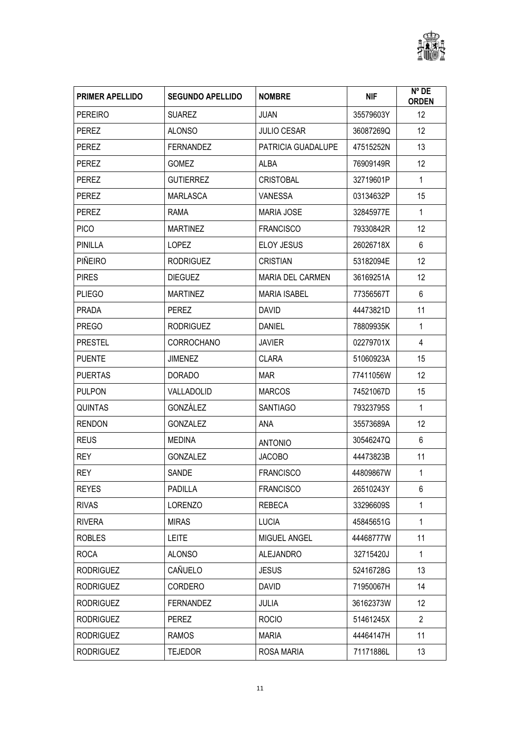

| <b>PRIMER APELLIDO</b> | <b>SEGUNDO APELLIDO</b> | <b>NOMBRE</b>           | <b>NIF</b> | Nº DE<br><b>ORDEN</b> |
|------------------------|-------------------------|-------------------------|------------|-----------------------|
| <b>PEREIRO</b>         | <b>SUAREZ</b>           | <b>JUAN</b>             | 35579603Y  | 12                    |
| <b>PEREZ</b>           | <b>ALONSO</b>           | <b>JULIO CESAR</b>      | 36087269Q  | 12                    |
| <b>PEREZ</b>           | <b>FERNANDEZ</b>        | PATRICIA GUADALUPE      | 47515252N  | 13                    |
| <b>PEREZ</b>           | <b>GOMEZ</b>            | ALBA                    | 76909149R  | 12                    |
| <b>PEREZ</b>           | <b>GUTIERREZ</b>        | <b>CRISTOBAL</b>        | 32719601P  | $\mathbf{1}$          |
| PEREZ                  | <b>MARLASCA</b>         | <b>VANESSA</b>          | 03134632P  | 15                    |
| <b>PEREZ</b>           | <b>RAMA</b>             | <b>MARIA JOSE</b>       | 32845977E  | $\mathbf{1}$          |
| <b>PICO</b>            | <b>MARTINEZ</b>         | <b>FRANCISCO</b>        | 79330842R  | 12                    |
| PINILLA                | <b>LOPEZ</b>            | <b>ELOY JESUS</b>       | 26026718X  | 6                     |
| PIÑEIRO                | <b>RODRIGUEZ</b>        | <b>CRISTIAN</b>         | 53182094E  | 12                    |
| <b>PIRES</b>           | <b>DIEGUEZ</b>          | <b>MARIA DEL CARMEN</b> | 36169251A  | 12                    |
| <b>PLIEGO</b>          | <b>MARTINEZ</b>         | <b>MARIA ISABEL</b>     | 77356567T  | 6                     |
| <b>PRADA</b>           | <b>PEREZ</b>            | <b>DAVID</b>            | 44473821D  | 11                    |
| <b>PREGO</b>           | <b>RODRIGUEZ</b>        | <b>DANIEL</b>           | 78809935K  | $\mathbf{1}$          |
| <b>PRESTEL</b>         | <b>CORROCHANO</b>       | <b>JAVIER</b>           | 02279701X  | 4                     |
| <b>PUENTE</b>          | <b>JIMENEZ</b>          | <b>CLARA</b>            | 51060923A  | 15                    |
| <b>PUERTAS</b>         | <b>DORADO</b>           | <b>MAR</b>              | 77411056W  | 12                    |
| <b>PULPON</b>          | VALLADOLID              | <b>MARCOS</b>           | 74521067D  | 15                    |
| <b>QUINTAS</b>         | GONZÁLEZ                | <b>SANTIAGO</b>         | 79323795S  | $\mathbf{1}$          |
| <b>RENDON</b>          | <b>GONZALEZ</b>         | ANA                     | 35573689A  | 12                    |
| <b>REUS</b>            | <b>MEDINA</b>           | <b>ANTONIO</b>          | 30546247Q  | 6                     |
| <b>REY</b>             | <b>GONZALEZ</b>         | <b>JACOBO</b>           | 44473823B  | 11                    |
| <b>REY</b>             | <b>SANDE</b>            | <b>FRANCISCO</b>        | 44809867W  | $\mathbf{1}$          |
| <b>REYES</b>           | PADILLA                 | <b>FRANCISCO</b>        | 26510243Y  | 6                     |
| <b>RIVAS</b>           | <b>LORENZO</b>          | <b>REBECA</b>           | 33296609S  | 1                     |
| <b>RIVERA</b>          | <b>MIRAS</b>            | <b>LUCIA</b>            | 45845651G  | $\mathbf{1}$          |
| <b>ROBLES</b>          | <b>LEITE</b>            | MIGUEL ANGEL            | 44468777W  | 11                    |
| <b>ROCA</b>            | <b>ALONSO</b>           | <b>ALEJANDRO</b>        | 32715420J  | 1                     |
| <b>RODRIGUEZ</b>       | CAÑUELO                 | <b>JESUS</b>            | 52416728G  | 13                    |
| <b>RODRIGUEZ</b>       | CORDERO                 | <b>DAVID</b>            | 71950067H  | 14                    |
| <b>RODRIGUEZ</b>       | <b>FERNANDEZ</b>        | <b>JULIA</b>            | 36162373W  | 12                    |
| <b>RODRIGUEZ</b>       | <b>PEREZ</b>            | <b>ROCIO</b>            | 51461245X  | $\overline{2}$        |
| <b>RODRIGUEZ</b>       | <b>RAMOS</b>            | <b>MARIA</b>            | 44464147H  | 11                    |
| <b>RODRIGUEZ</b>       | <b>TEJEDOR</b>          | ROSA MARIA              | 71171886L  | 13                    |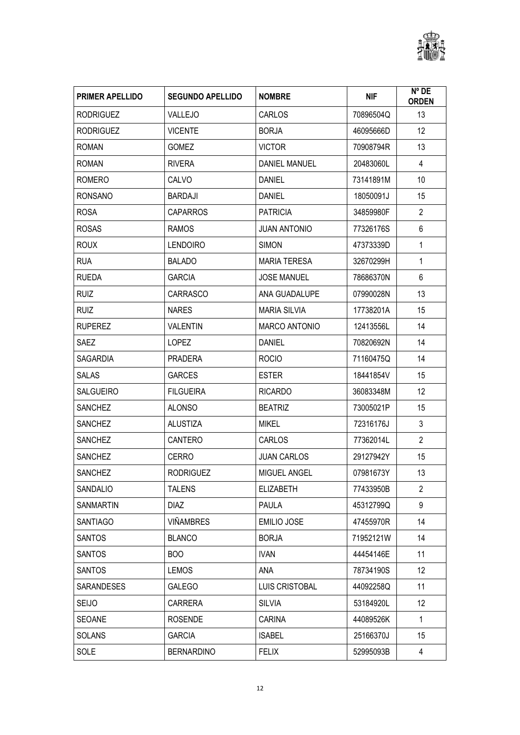

| <b>PRIMER APELLIDO</b> | <b>SEGUNDO APELLIDO</b> | <b>NOMBRE</b>        | <b>NIF</b> | $N^{\circ}$ DE<br><b>ORDEN</b> |
|------------------------|-------------------------|----------------------|------------|--------------------------------|
| <b>RODRIGUEZ</b>       | VALLEJO                 | CARLOS               | 70896504Q  | 13                             |
| <b>RODRIGUEZ</b>       | <b>VICENTE</b>          | <b>BORJA</b>         | 46095666D  | 12                             |
| <b>ROMAN</b>           | <b>GOMEZ</b>            | <b>VICTOR</b>        | 70908794R  | 13                             |
| <b>ROMAN</b>           | <b>RIVERA</b>           | DANIEL MANUEL        | 20483060L  | $\overline{4}$                 |
| ROMERO                 | CALVO                   | <b>DANIEL</b>        | 73141891M  | 10                             |
| <b>RONSANO</b>         | <b>BARDAJI</b>          | <b>DANIEL</b>        | 18050091J  | 15                             |
| <b>ROSA</b>            | <b>CAPARROS</b>         | <b>PATRICIA</b>      | 34859980F  | $\overline{2}$                 |
| <b>ROSAS</b>           | <b>RAMOS</b>            | <b>JUAN ANTONIO</b>  | 77326176S  | 6                              |
| <b>ROUX</b>            | <b>LENDOIRO</b>         | <b>SIMON</b>         | 47373339D  | 1                              |
| <b>RUA</b>             | <b>BALADO</b>           | <b>MARIA TERESA</b>  | 32670299H  | $\mathbf{1}$                   |
| <b>RUEDA</b>           | <b>GARCIA</b>           | <b>JOSE MANUEL</b>   | 78686370N  | 6                              |
| <b>RUIZ</b>            | <b>CARRASCO</b>         | ANA GUADALUPE        | 07990028N  | 13                             |
| <b>RUIZ</b>            | <b>NARES</b>            | <b>MARIA SILVIA</b>  | 17738201A  | 15                             |
| <b>RUPEREZ</b>         | <b>VALENTIN</b>         | <b>MARCO ANTONIO</b> | 12413556L  | 14                             |
| <b>SAEZ</b>            | <b>LOPEZ</b>            | <b>DANIEL</b>        | 70820692N  | 14                             |
| <b>SAGARDIA</b>        | <b>PRADERA</b>          | <b>ROCIO</b>         | 71160475Q  | 14                             |
| <b>SALAS</b>           | <b>GARCES</b>           | <b>ESTER</b>         | 18441854V  | 15                             |
| <b>SALGUEIRO</b>       | <b>FILGUEIRA</b>        | <b>RICARDO</b>       | 36083348M  | 12                             |
| <b>SANCHEZ</b>         | <b>ALONSO</b>           | <b>BEATRIZ</b>       | 73005021P  | 15                             |
| <b>SANCHEZ</b>         | <b>ALUSTIZA</b>         | <b>MIKEL</b>         | 72316176J  | 3                              |
| <b>SANCHEZ</b>         | CANTERO                 | CARLOS               | 77362014L  | $\overline{2}$                 |
| <b>SANCHEZ</b>         | <b>CERRO</b>            | <b>JUAN CARLOS</b>   | 29127942Y  | 15                             |
| <b>SANCHEZ</b>         | <b>RODRIGUEZ</b>        | <b>MIGUEL ANGEL</b>  | 07981673Y  | 13                             |
| SANDALIO               | <b>TALENS</b>           | <b>ELIZABETH</b>     | 77433950B  | $\overline{2}$                 |
| SANMARTIN              | <b>DIAZ</b>             | PAULA                | 45312799Q  | 9                              |
| <b>SANTIAGO</b>        | <b>VIÑAMBRES</b>        | <b>EMILIO JOSE</b>   | 47455970R  | 14                             |
| <b>SANTOS</b>          | <b>BLANCO</b>           | <b>BORJA</b>         | 71952121W  | 14                             |
| <b>SANTOS</b>          | <b>BOO</b>              | <b>IVAN</b>          | 44454146E  | 11                             |
| SANTOS                 | <b>LEMOS</b>            | ANA                  | 78734190S  | 12                             |
| <b>SARANDESES</b>      | <b>GALEGO</b>           | LUIS CRISTOBAL       | 44092258Q  | 11                             |
| <b>SEIJO</b>           | CARRERA                 | <b>SILVIA</b>        | 53184920L  | 12                             |
| SEOANE                 | <b>ROSENDE</b>          | CARINA               | 44089526K  | $\mathbf{1}$                   |
| <b>SOLANS</b>          | <b>GARCIA</b>           | <b>ISABEL</b>        | 25166370J  | 15                             |
| SOLE                   | <b>BERNARDINO</b>       | <b>FELIX</b>         | 52995093B  | 4                              |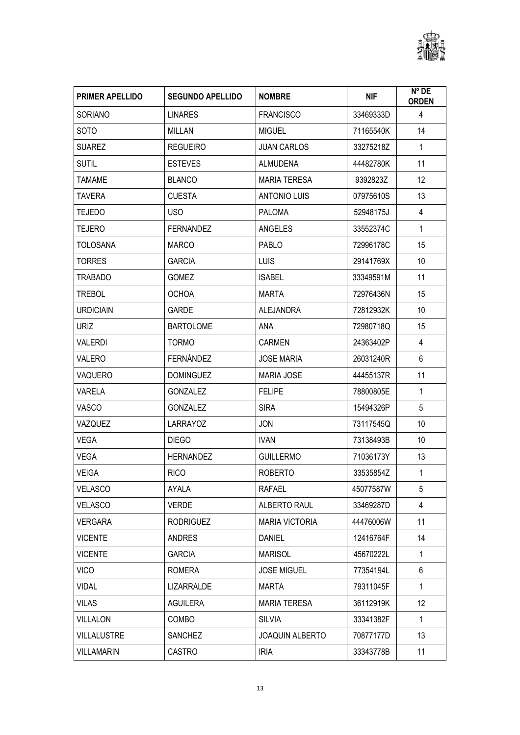

| <b>PRIMER APELLIDO</b> | <b>SEGUNDO APELLIDO</b> | <b>NOMBRE</b>          | <b>NIF</b> | N° DE<br><b>ORDEN</b> |
|------------------------|-------------------------|------------------------|------------|-----------------------|
| <b>SORIANO</b>         | <b>LINARES</b>          | <b>FRANCISCO</b>       | 33469333D  | 4                     |
| <b>SOTO</b>            | MILLAN                  | <b>MIGUEL</b>          | 71165540K  | 14                    |
| <b>SUAREZ</b>          | <b>REGUEIRO</b>         | <b>JUAN CARLOS</b>     | 33275218Z  | $\mathbf{1}$          |
| <b>SUTIL</b>           | <b>ESTEVES</b>          | <b>ALMUDENA</b>        | 44482780K  | 11                    |
| <b>TAMAME</b>          | <b>BLANCO</b>           | <b>MARIA TERESA</b>    | 9392823Z   | 12                    |
| <b>TAVERA</b>          | <b>CUESTA</b>           | <b>ANTONIO LUIS</b>    | 07975610S  | 13                    |
| <b>TEJEDO</b>          | USO                     | <b>PALOMA</b>          | 52948175J  | 4                     |
| <b>TEJERO</b>          | <b>FERNANDEZ</b>        | ANGELES                | 33552374C  | $\mathbf{1}$          |
| <b>TOLOSANA</b>        | <b>MARCO</b>            | <b>PABLO</b>           | 72996178C  | 15                    |
| <b>TORRES</b>          | <b>GARCIA</b>           | <b>LUIS</b>            | 29141769X  | 10                    |
| <b>TRABADO</b>         | <b>GOMEZ</b>            | <b>ISABEL</b>          | 33349591M  | 11                    |
| <b>TREBOL</b>          | <b>OCHOA</b>            | <b>MARTA</b>           | 72976436N  | 15                    |
| <b>URDICIAIN</b>       | <b>GARDE</b>            | <b>ALEJANDRA</b>       | 72812932K  | 10                    |
| <b>URIZ</b>            | <b>BARTOLOME</b>        | <b>ANA</b>             | 72980718Q  | 15                    |
| VALERDI                | <b>TORMO</b>            | <b>CARMEN</b>          | 24363402P  | 4                     |
| VALERO                 | FERNÁNDEZ               | <b>JOSE MARIA</b>      | 26031240R  | 6                     |
| VAQUERO                | <b>DOMINGUEZ</b>        | <b>MARIA JOSE</b>      | 44455137R  | 11                    |
| VARELA                 | <b>GONZALEZ</b>         | <b>FELIPE</b>          | 78800805E  | $\mathbf{1}$          |
| VASCO                  | <b>GONZALEZ</b>         | <b>SIRA</b>            | 15494326P  | 5                     |
| VAZQUEZ                | <b>LARRAYOZ</b>         | <b>JON</b>             | 73117545Q  | 10                    |
| <b>VEGA</b>            | <b>DIEGO</b>            | <b>IVAN</b>            | 73138493B  | 10                    |
| VEGA                   | <b>HERNANDEZ</b>        | <b>GUILLERMO</b>       | 71036173Y  | 13                    |
| <b>VEIGA</b>           | <b>RICO</b>             | <b>ROBERTO</b>         | 33535854Z  | $\mathbf{1}$          |
| VELASCO                | AYALA                   | RAFAEL                 | 45077587W  | 5                     |
| <b>VELASCO</b>         | <b>VERDE</b>            | ALBERTO RAUL           | 33469287D  | 4                     |
| <b>VERGARA</b>         | <b>RODRIGUEZ</b>        | <b>MARIA VICTORIA</b>  | 44476006W  | 11                    |
| <b>VICENTE</b>         | ANDRES                  | DANIEL                 | 12416764F  | 14                    |
| <b>VICENTE</b>         | <b>GARCIA</b>           | <b>MARISOL</b>         | 45670222L  | 1                     |
| <b>VICO</b>            | ROMERA                  | <b>JOSE MIGUEL</b>     | 77354194L  | 6                     |
| <b>VIDAL</b>           | LIZARRALDE              | MARTA                  | 79311045F  | 1                     |
| <b>VILAS</b>           | <b>AGUILERA</b>         | <b>MARIA TERESA</b>    | 36112919K  | 12                    |
| <b>VILLALON</b>        | <b>COMBO</b>            | <b>SILVIA</b>          | 33341382F  | $\mathbf{1}$          |
| <b>VILLALUSTRE</b>     | <b>SANCHEZ</b>          | <b>JOAQUIN ALBERTO</b> | 70877177D  | 13                    |
| <b>VILLAMARIN</b>      | CASTRO                  | <b>IRIA</b>            | 33343778B  | 11                    |